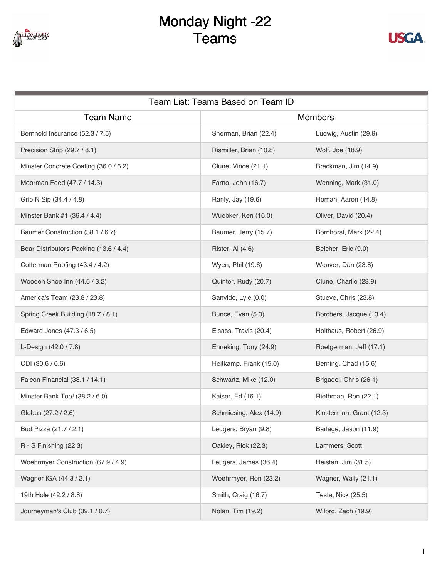

## Monday Night -22 Teams



| Team List: Teams Based on Team ID      |                         |                          |  |
|----------------------------------------|-------------------------|--------------------------|--|
| <b>Team Name</b>                       | <b>Members</b>          |                          |  |
| Bernhold Insurance (52.3 / 7.5)        | Sherman, Brian (22.4)   | Ludwig, Austin (29.9)    |  |
| Precision Strip (29.7 / 8.1)           | Rismiller, Brian (10.8) | Wolf, Joe (18.9)         |  |
| Minster Concrete Coating (36.0 / 6.2)  | Clune, Vince (21.1)     | Brackman, Jim (14.9)     |  |
| Moorman Feed (47.7 / 14.3)             | Farno, John (16.7)      | Wenning, Mark (31.0)     |  |
| Grip N Sip (34.4 / 4.8)                | Ranly, Jay (19.6)       | Homan, Aaron (14.8)      |  |
| Minster Bank #1 (36.4 / 4.4)           | Wuebker, Ken (16.0)     | Oliver, David (20.4)     |  |
| Baumer Construction (38.1 / 6.7)       | Baumer, Jerry (15.7)    | Bornhorst, Mark (22.4)   |  |
| Bear Distributors-Packing (13.6 / 4.4) | Rister, Al (4.6)        | Belcher, Eric (9.0)      |  |
| Cotterman Roofing (43.4 / 4.2)         | Wyen, Phil (19.6)       | Weaver, Dan (23.8)       |  |
| Wooden Shoe Inn (44.6 / 3.2)           | Quinter, Rudy (20.7)    | Clune, Charlie (23.9)    |  |
| America's Team (23.8 / 23.8)           | Sanvido, Lyle (0.0)     | Stueve, Chris (23.8)     |  |
| Spring Creek Building (18.7 / 8.1)     | Bunce, Evan (5.3)       | Borchers, Jacque (13.4)  |  |
| Edward Jones (47.3 / 6.5)              | Elsass, Travis (20.4)   | Holthaus, Robert (26.9)  |  |
| L-Design (42.0 / 7.8)                  | Enneking, Tony (24.9)   | Roetgerman, Jeff (17.1)  |  |
| CDI (30.6 / 0.6)                       | Heitkamp, Frank (15.0)  | Berning, Chad (15.6)     |  |
| Falcon Financial (38.1 / 14.1)         | Schwartz, Mike (12.0)   | Brigadoi, Chris (26.1)   |  |
| Minster Bank Too! (38.2 / 6.0)         | Kaiser, Ed (16.1)       | Riethman, Ron (22.1)     |  |
| Globus (27.2 / 2.6)                    | Schmiesing, Alex (14.9) | Klosterman, Grant (12.3) |  |
| Bud Pizza (21.7 / 2.1)                 | Leugers, Bryan (9.8)    | Barlage, Jason (11.9)    |  |
| R - S Finishing (22.3)                 | Oakley, Rick (22.3)     | Lammers, Scott           |  |
| Woehrmyer Construction (67.9 / 4.9)    | Leugers, James (36.4)   | Heistan, Jim (31.5)      |  |
| Wagner IGA (44.3 / 2.1)                | Woehrmyer, Ron (23.2)   | Wagner, Wally (21.1)     |  |
| 19th Hole (42.2 / 8.8)                 | Smith, Craig (16.7)     | Testa, Nick (25.5)       |  |
| Journeyman's Club (39.1 / 0.7)         | Nolan, Tim (19.2)       | Wiford, Zach (19.9)      |  |